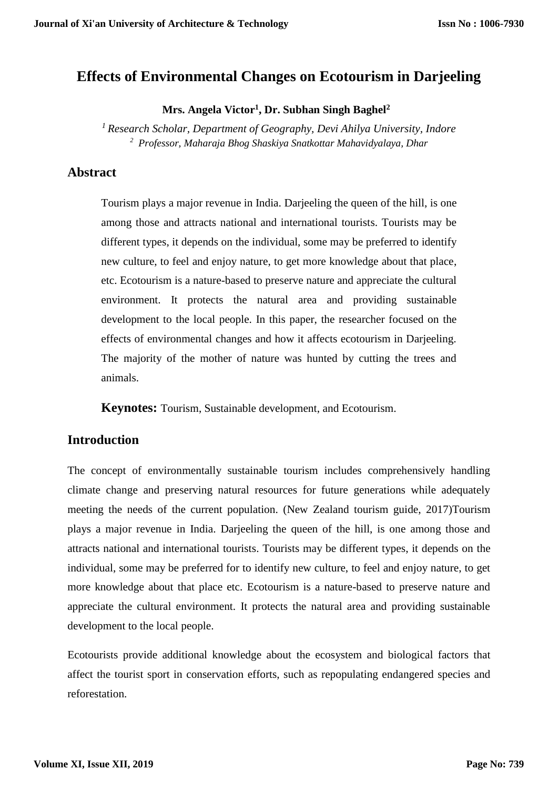# **Effects of Environmental Changes on Ecotourism in Darjeeling**

### **Mrs. Angela Victor<sup>1</sup> , Dr. Subhan Singh Baghel<sup>2</sup>**

*<sup>1</sup> Research Scholar, Department of Geography, Devi Ahilya University, Indore <sup>2</sup> Professor, Maharaja Bhog Shaskiya Snatkottar Mahavidyalaya, Dhar*

# **Abstract**

Tourism plays a major revenue in India. Darjeeling the queen of the hill, is one among those and attracts national and international tourists. Tourists may be different types, it depends on the individual, some may be preferred to identify new culture, to feel and enjoy nature, to get more knowledge about that place, etc. Ecotourism is a nature-based to preserve nature and appreciate the cultural environment. It protects the natural area and providing sustainable development to the local people. In this paper, the researcher focused on the effects of environmental changes and how it affects ecotourism in Darjeeling. The majority of the mother of nature was hunted by cutting the trees and animals.

**Keynotes:** Tourism, Sustainable development, and Ecotourism.

# **Introduction**

The concept of environmentally sustainable tourism includes comprehensively handling climate change and preserving natural resources for future generations while adequately meeting the needs of the current population. (New Zealand tourism guide, 2017)Tourism plays a major revenue in India. Darjeeling the queen of the hill, is one among those and attracts national and international tourists. Tourists may be different types, it depends on the individual, some may be preferred for to identify new culture, to feel and enjoy nature, to get more knowledge about that place etc. Ecotourism is a nature-based to preserve nature and appreciate the cultural environment. It protects the natural area and providing sustainable development to the local people.

Ecotourists provide additional knowledge about the ecosystem and biological factors that affect the tourist sport in conservation efforts, such as repopulating endangered species and reforestation.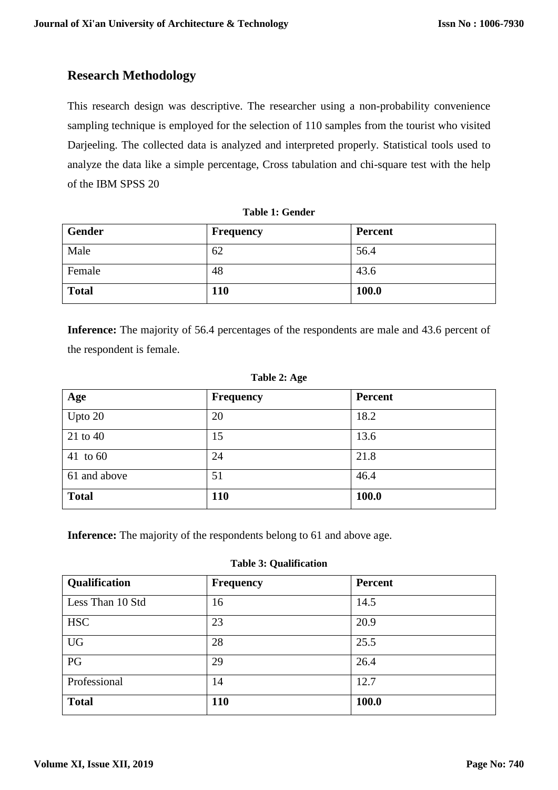# **Research Methodology**

This research design was descriptive. The researcher using a non-probability convenience sampling technique is employed for the selection of 110 samples from the tourist who visited Darjeeling. The collected data is analyzed and interpreted properly. Statistical tools used to analyze the data like a simple percentage, Cross tabulation and chi-square test with the help of the IBM SPSS 20

#### **Table 1: Gender**

| <b>Gender</b> | <b>Frequency</b> | <b>Percent</b> |
|---------------|------------------|----------------|
| Male          | 62               | 56.4           |
| Female        | 48               | 43.6           |
| <b>Total</b>  | 110              | 100.0          |

Inference: The majority of 56.4 percentages of the respondents are male and 43.6 percent of the respondent is female.

#### **Table 2: Age**

| Age          | <b>Frequency</b> | <b>Percent</b> |
|--------------|------------------|----------------|
| Upto 20      | 20               | 18.2           |
| 21 to 40     | 15               | 13.6           |
| 41 to 60     | 24               | 21.8           |
| 61 and above | 51               | 46.4           |
| <b>Total</b> | <b>110</b>       | 100.0          |

**Inference:** The majority of the respondents belong to 61 and above age.

#### **Table 3: Qualification**

| Qualification    | <b>Frequency</b> | <b>Percent</b> |
|------------------|------------------|----------------|
| Less Than 10 Std | 16               | 14.5           |
| <b>HSC</b>       | 23               | 20.9           |
| <b>UG</b>        | 28               | 25.5           |
| PG               | 29               | 26.4           |
| Professional     | 14               | 12.7           |
| <b>Total</b>     | <b>110</b>       | 100.0          |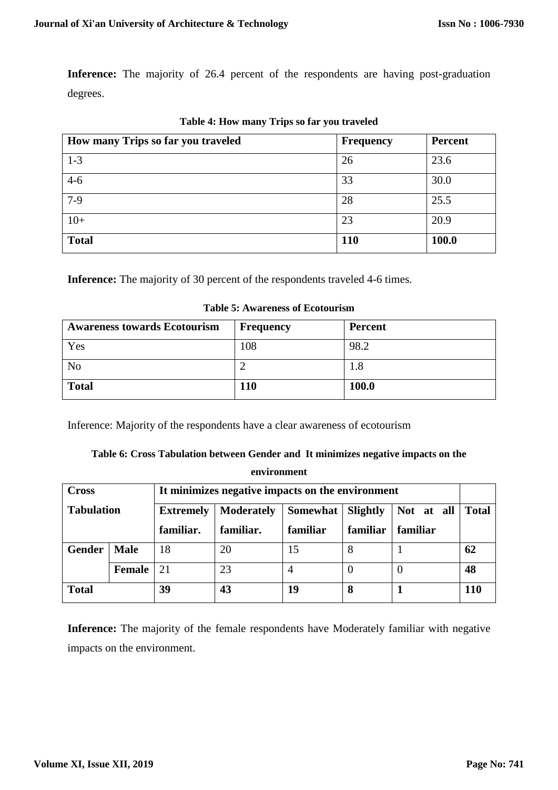**Inference:** The majority of 26.4 percent of the respondents are having post-graduation degrees.

| How many Trips so far you traveled | <b>Frequency</b> | <b>Percent</b> |
|------------------------------------|------------------|----------------|
| $1 - 3$                            | 26               | 23.6           |
| $4 - 6$                            | 33               | 30.0           |
| $7-9$                              | 28               | 25.5           |
| $10+$                              | 23               | 20.9           |
| <b>Total</b>                       | <b>110</b>       | 100.0          |

**Table 4: How many Trips so far you traveled**

**Inference:** The majority of 30 percent of the respondents traveled 4-6 times.

| <b>Awareness towards Ecotourism</b> | Frequency | <b>Percent</b> |
|-------------------------------------|-----------|----------------|
| Yes                                 | 108       | 98.2           |
| N <sub>o</sub>                      |           | 1.8            |
| <b>Total</b>                        | L10       | 100.0          |

**Table 5: Awareness of Ecotourism**

Inference: Majority of the respondents have a clear awareness of ecotourism

|  |             | Table 6: Cross Tabulation between Gender and It minimizes negative impacts on the |
|--|-------------|-----------------------------------------------------------------------------------|
|  | environment |                                                                                   |

| It minimizes negative impacts on the environment<br><b>Cross</b> |               |                  |                   |          |                 |            |              |
|------------------------------------------------------------------|---------------|------------------|-------------------|----------|-----------------|------------|--------------|
| <b>Tabulation</b>                                                |               | <b>Extremely</b> | <b>Moderately</b> | Somewhat | <b>Slightly</b> | Not at all | <b>Total</b> |
|                                                                  |               | familiar.        | familiar.         | familiar | familiar        | familiar   |              |
| <b>Gender</b>                                                    | <b>Male</b>   | 18               | 20                | 15       | 8               |            | 62           |
|                                                                  | <b>Female</b> | 21               | 23                | 4        |                 |            | 48           |
| <b>Total</b>                                                     |               | 39               | 43                | 19       | 8               |            | <b>110</b>   |

**Inference:** The majority of the female respondents have Moderately familiar with negative impacts on the environment.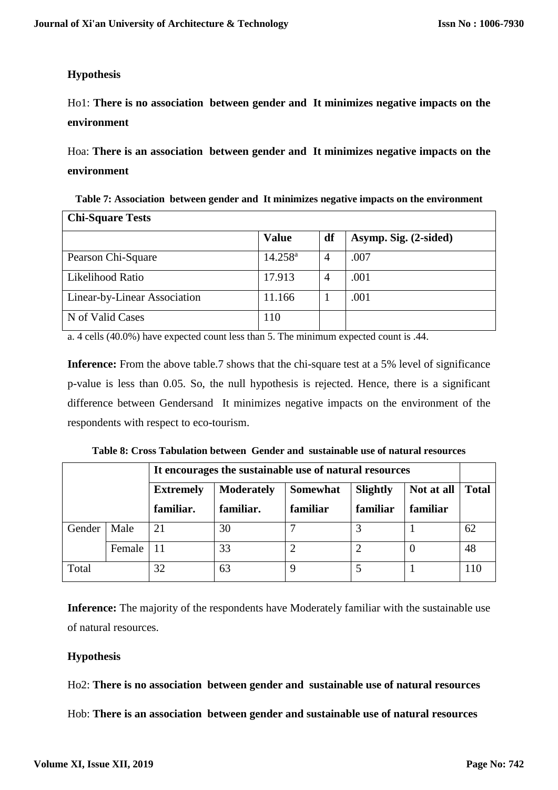### **Hypothesis**

Ho1: **There is no association between gender and It minimizes negative impacts on the environment**

Hoa: **There is an association between gender and It minimizes negative impacts on the environment**

|                  | Table 7: Association between gender and It minimizes negative impacts on the environment |
|------------------|------------------------------------------------------------------------------------------|
| Chi-Sauare Tests |                                                                                          |

| $\sim$ $\sim$ $\sim$ $\sim$ $\sim$ $\sim$ $\sim$ $\sim$ |                  |                |                       |
|---------------------------------------------------------|------------------|----------------|-----------------------|
|                                                         | <b>Value</b>     | df             | Asymp. Sig. (2-sided) |
| Pearson Chi-Square                                      | $14.258^{\rm a}$ | $\overline{4}$ | .007                  |
| Likelihood Ratio                                        | 17.913           | 4              | .001                  |
| Linear-by-Linear Association                            | 11.166           |                | .001                  |
| N of Valid Cases                                        | 110              |                |                       |

a. 4 cells (40.0%) have expected count less than 5. The minimum expected count is .44.

**Inference:** From the above table.7 shows that the chi-square test at a 5% level of significance p-value is less than 0.05. So, the null hypothesis is rejected. Hence, there is a significant difference between Gendersand It minimizes negative impacts on the environment of the respondents with respect to eco-tourism.

|        |        | It encourages the sustainable use of natural resources |                                                                                       |          |          |          |     |  |
|--------|--------|--------------------------------------------------------|---------------------------------------------------------------------------------------|----------|----------|----------|-----|--|
|        |        | <b>Extremely</b>                                       | <b>Moderately</b><br><b>Somewhat</b><br><b>Slightly</b><br>Not at all<br><b>Total</b> |          |          |          |     |  |
|        |        | familiar.                                              | familiar.                                                                             | familiar | familiar | familiar |     |  |
| Gender | Male   | 21                                                     | 30                                                                                    |          |          |          | 62  |  |
|        | Female | 11                                                     | 33                                                                                    | ↑        |          | $\theta$ | 48  |  |
| Total  |        | 32                                                     | 63                                                                                    | 9        |          |          | 110 |  |

**Table 8: Cross Tabulation between Gender and sustainable use of natural resources**

Inference: The majority of the respondents have Moderately familiar with the sustainable use of natural resources.

### **Hypothesis**

Ho2: **There is no association between gender and sustainable use of natural resources**

Hob: **There is an association between gender and sustainable use of natural resources**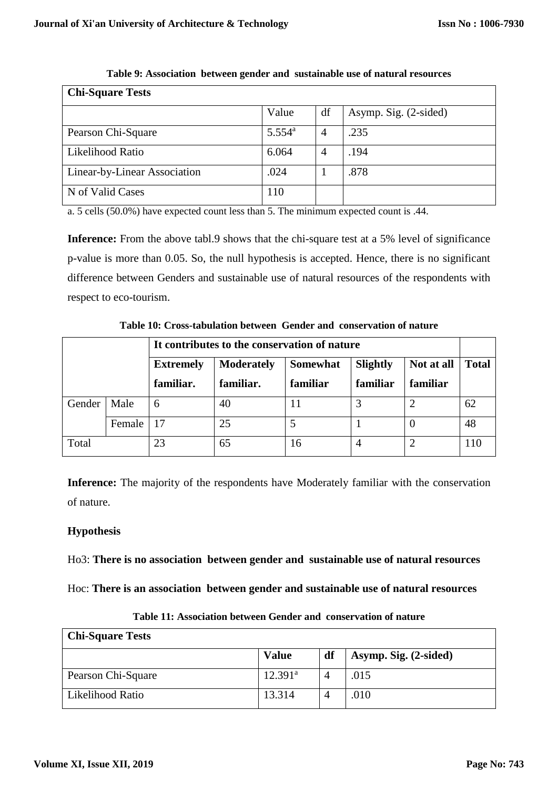| <b>Chi-Square Tests</b>      |                 |    |                       |  |  |  |
|------------------------------|-----------------|----|-----------------------|--|--|--|
|                              | Value           | df | Asymp. Sig. (2-sided) |  |  |  |
| Pearson Chi-Square           | $5.554^{\rm a}$ | 4  | .235                  |  |  |  |
| Likelihood Ratio             | 6.064           | 4  | .194                  |  |  |  |
| Linear-by-Linear Association | .024            |    | .878                  |  |  |  |
| N of Valid Cases             | 110             |    |                       |  |  |  |

**Table 9: Association between gender and sustainable use of natural resources**

a. 5 cells (50.0%) have expected count less than 5. The minimum expected count is .44.

Inference: From the above tabl.9 shows that the chi-square test at a 5% level of significance p-value is more than 0.05. So, the null hypothesis is accepted. Hence, there is no significant difference between Genders and sustainable use of natural resources of the respondents with respect to eco-tourism.

**Table 10: Cross-tabulation between Gender and conservation of nature**

|                  |        | It contributes to the conservation of nature |                   |                 |                 |               |              |
|------------------|--------|----------------------------------------------|-------------------|-----------------|-----------------|---------------|--------------|
| <b>Extremely</b> |        |                                              | <b>Moderately</b> | <b>Somewhat</b> | <b>Slightly</b> | Not at all    | <b>Total</b> |
|                  |        | familiar.                                    | familiar.         | familiar        | familiar        | familiar      |              |
| Gender           | Male   | 6                                            | 40                | 11              |                 |               | 62           |
|                  | Female | 17                                           | 25                |                 |                 |               | 48           |
| Total            |        | 23                                           | 65                | 16              |                 | $\mathcal{P}$ | 110          |

**Inference:** The majority of the respondents have Moderately familiar with the conservation of nature.

### **Hypothesis**

Ho3: **There is no association between gender and sustainable use of natural resources**

Hoc: **There is an association between gender and sustainable use of natural resources**

| <b>Chi-Square Tests</b> |                  |    |                       |  |
|-------------------------|------------------|----|-----------------------|--|
|                         | <b>Value</b>     | df | Asymp. Sig. (2-sided) |  |
| Pearson Chi-Square      | $12.391^{\rm a}$ |    | .015                  |  |
| Likelihood Ratio        | 13.314           |    | .010                  |  |

**Table 11: Association between Gender and conservation of nature**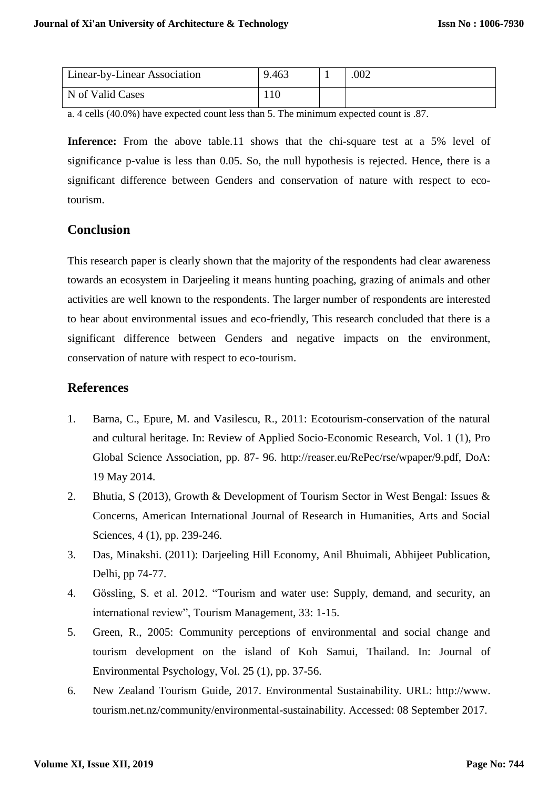| Linear-by-Linear Association | 9.463 | .002 |
|------------------------------|-------|------|
| N of Valid Cases             |       |      |

a. 4 cells (40.0%) have expected count less than 5. The minimum expected count is .87.

**Inference:** From the above table.11 shows that the chi-square test at a 5% level of significance p-value is less than 0.05. So, the null hypothesis is rejected. Hence, there is a significant difference between Genders and conservation of nature with respect to ecotourism.

# **Conclusion**

This research paper is clearly shown that the majority of the respondents had clear awareness towards an ecosystem in Darjeeling it means hunting poaching, grazing of animals and other activities are well known to the respondents. The larger number of respondents are interested to hear about environmental issues and eco-friendly, This research concluded that there is a significant difference between Genders and negative impacts on the environment, conservation of nature with respect to eco-tourism.

### **References**

- 1. Barna, C., Epure, M. and Vasilescu, R., 2011: Ecotourism-conservation of the natural and cultural heritage. In: Review of Applied Socio-Economic Research, Vol. 1 (1), Pro Global Science Association, pp. 87- 96. http://reaser.eu/RePec/rse/wpaper/9.pdf, DoA: 19 May 2014.
- 2. Bhutia, S (2013), Growth & Development of Tourism Sector in West Bengal: Issues & Concerns, American International Journal of Research in Humanities, Arts and Social Sciences, 4 (1), pp. 239-246.
- 3. Das, Minakshi. (2011): Darjeeling Hill Economy, Anil Bhuimali, Abhijeet Publication, Delhi, pp 74-77.
- 4. Gössling, S. et al. 2012. "Tourism and water use: Supply, demand, and security, an international review", Tourism Management, 33: 1-15.
- 5. Green, R., 2005: Community perceptions of environmental and social change and tourism development on the island of Koh Samui, Thailand. In: Journal of Environmental Psychology, Vol. 25 (1), pp. 37-56.
- 6. New Zealand Tourism Guide, 2017. Environmental Sustainability. URL: http://www. tourism.net.nz/community/environmental-sustainability. Accessed: 08 September 2017.